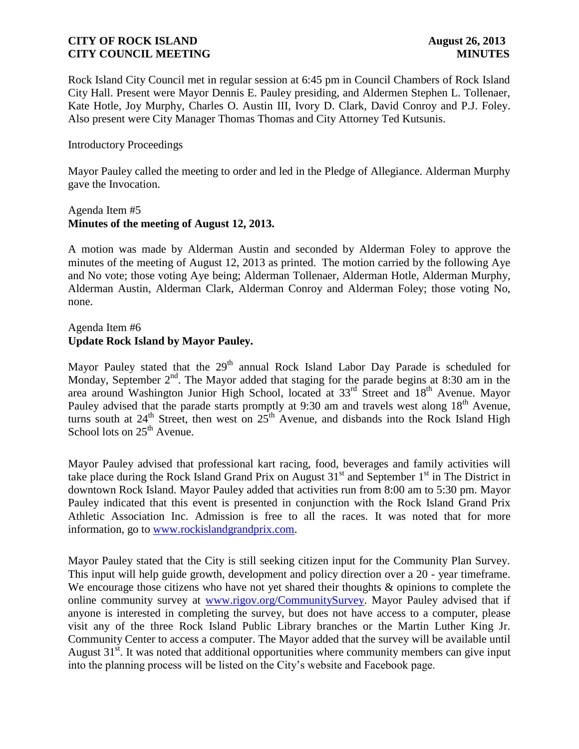Rock Island City Council met in regular session at 6:45 pm in Council Chambers of Rock Island City Hall. Present were Mayor Dennis E. Pauley presiding, and Aldermen Stephen L. Tollenaer, Kate Hotle, Joy Murphy, Charles O. Austin III, Ivory D. Clark, David Conroy and P.J. Foley. Also present were City Manager Thomas Thomas and City Attorney Ted Kutsunis.

### Introductory Proceedings

Mayor Pauley called the meeting to order and led in the Pledge of Allegiance. Alderman Murphy gave the Invocation.

### Agenda Item #5 **Minutes of the meeting of August 12, 2013.**

A motion was made by Alderman Austin and seconded by Alderman Foley to approve the minutes of the meeting of August 12, 2013 as printed. The motion carried by the following Aye and No vote; those voting Aye being; Alderman Tollenaer, Alderman Hotle, Alderman Murphy, Alderman Austin, Alderman Clark, Alderman Conroy and Alderman Foley; those voting No, none.

## Agenda Item #6 **Update Rock Island by Mayor Pauley.**

Mayor Pauley stated that the  $29<sup>th</sup>$  annual Rock Island Labor Day Parade is scheduled for Monday, September  $2<sup>nd</sup>$ . The Mayor added that staging for the parade begins at 8:30 am in the area around Washington Junior High School, located at 33<sup>rd</sup> Street and 18<sup>th</sup> Avenue. Mayor Pauley advised that the parade starts promptly at 9:30 am and travels west along 18<sup>th</sup> Avenue, turns south at  $24^{th}$  Street, then west on  $25^{th}$  Avenue, and disbands into the Rock Island High School lots on  $25<sup>th</sup>$  Avenue.

Mayor Pauley advised that professional kart racing, food, beverages and family activities will take place during the Rock Island Grand Prix on August 31<sup>st</sup> and September 1<sup>st</sup> in The District in downtown Rock Island. Mayor Pauley added that activities run from 8:00 am to 5:30 pm. Mayor Pauley indicated that this event is presented in conjunction with the Rock Island Grand Prix Athletic Association Inc. Admission is free to all the races. It was noted that for more information, go to [www.rockislandgrandprix.com.](http://www.rockislandgrandprix.com/)

Mayor Pauley stated that the City is still seeking citizen input for the Community Plan Survey. This input will help guide growth, development and policy direction over a 20 - year timeframe. We encourage those citizens who have not yet shared their thoughts  $\&$  opinions to complete the online community survey at [www.rigov.org/CommunitySurvey.](http://www.rigov.org/CommunitySurveyc) Mayor Pauley advised that if anyone is interested in completing the survey, but does not have access to a computer, please visit any of the three Rock Island Public Library branches or the Martin Luther King Jr. Community Center to access a computer. The Mayor added that the survey will be available until August  $31<sup>st</sup>$ . It was noted that additional opportunities where community members can give input into the planning process will be listed on the City's website and Facebook page.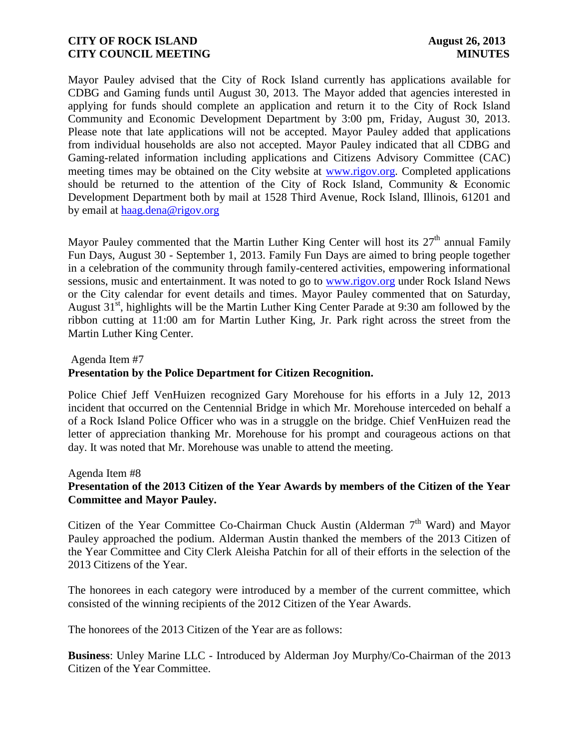Mayor Pauley advised that the City of Rock Island currently has applications available for CDBG and Gaming funds until August 30, 2013. The Mayor added that agencies interested in applying for funds should complete an application and return it to the City of Rock Island Community and Economic Development Department by 3:00 pm, Friday, August 30, 2013. Please note that late applications will not be accepted. Mayor Pauley added that applications from individual households are also not accepted. Mayor Pauley indicated that all CDBG and Gaming-related information including applications and Citizens Advisory Committee (CAC) meeting times may be obtained on the City website at [www.rigov.org.](http://www.rigov.org/) Completed applications should be returned to the attention of the City of Rock Island, Community & Economic Development Department both by mail at 1528 Third Avenue, Rock Island, Illinois, 61201 and by email at [haag.dena@rigov.org](mailto:haag.dena@rigov.org)

Mayor Pauley commented that the Martin Luther King Center will host its  $27<sup>th</sup>$  annual Family Fun Days, August 30 - September 1, 2013. Family Fun Days are aimed to bring people together in a celebration of the community through family-centered activities, empowering informational sessions, music and entertainment. It was noted to go to [www.rigov.org](http://www.rigov.org/) under Rock Island News or the City calendar for event details and times. Mayor Pauley commented that on Saturday, August  $31<sup>st</sup>$ , highlights will be the Martin Luther King Center Parade at 9:30 am followed by the ribbon cutting at 11:00 am for Martin Luther King, Jr. Park right across the street from the Martin Luther King Center.

Agenda Item #7

### **Presentation by the Police Department for Citizen Recognition.**

Police Chief Jeff VenHuizen recognized Gary Morehouse for his efforts in a July 12, 2013 incident that occurred on the Centennial Bridge in which Mr. Morehouse interceded on behalf a of a Rock Island Police Officer who was in a struggle on the bridge. Chief VenHuizen read the letter of appreciation thanking Mr. Morehouse for his prompt and courageous actions on that day. It was noted that Mr. Morehouse was unable to attend the meeting.

Agenda Item #8

## **Presentation of the 2013 Citizen of the Year Awards by members of the Citizen of the Year Committee and Mayor Pauley.**

Citizen of the Year Committee Co-Chairman Chuck Austin (Alderman  $7<sup>th</sup>$  Ward) and Mayor Pauley approached the podium. Alderman Austin thanked the members of the 2013 Citizen of the Year Committee and City Clerk Aleisha Patchin for all of their efforts in the selection of the 2013 Citizens of the Year.

The honorees in each category were introduced by a member of the current committee, which consisted of the winning recipients of the 2012 Citizen of the Year Awards.

The honorees of the 2013 Citizen of the Year are as follows:

**Business**: Unley Marine LLC - Introduced by Alderman Joy Murphy/Co-Chairman of the 2013 Citizen of the Year Committee.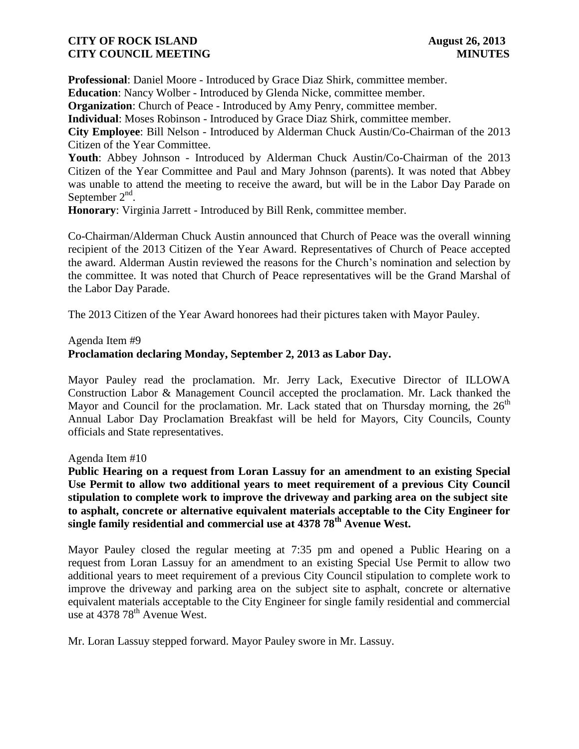**Professional**: Daniel Moore - Introduced by Grace Diaz Shirk, committee member.

**Education**: Nancy Wolber - Introduced by Glenda Nicke, committee member.

**Organization**: Church of Peace - Introduced by Amy Penry, committee member.

**Individual**: Moses Robinson - Introduced by Grace Diaz Shirk, committee member.

**City Employee**: Bill Nelson - Introduced by Alderman Chuck Austin/Co-Chairman of the 2013 Citizen of the Year Committee.

**Youth**: Abbey Johnson - Introduced by Alderman Chuck Austin/Co-Chairman of the 2013 Citizen of the Year Committee and Paul and Mary Johnson (parents). It was noted that Abbey was unable to attend the meeting to receive the award, but will be in the Labor Day Parade on September  $2<sup>nd</sup>$ .

**Honorary**: Virginia Jarrett - Introduced by Bill Renk, committee member.

Co-Chairman/Alderman Chuck Austin announced that Church of Peace was the overall winning recipient of the 2013 Citizen of the Year Award. Representatives of Church of Peace accepted the award. Alderman Austin reviewed the reasons for the Church's nomination and selection by the committee. It was noted that Church of Peace representatives will be the Grand Marshal of the Labor Day Parade.

The 2013 Citizen of the Year Award honorees had their pictures taken with Mayor Pauley.

#### Agenda Item #9

## **Proclamation declaring Monday, September 2, 2013 as Labor Day.**

Mayor Pauley read the proclamation. Mr. Jerry Lack, Executive Director of ILLOWA Construction Labor & Management Council accepted the proclamation. Mr. Lack thanked the Mayor and Council for the proclamation. Mr. Lack stated that on Thursday morning, the  $26<sup>th</sup>$ Annual Labor Day Proclamation Breakfast will be held for Mayors, City Councils, County officials and State representatives.

Agenda Item #10

**Public Hearing on a request from Loran Lassuy for an amendment to an existing Special Use Permit to allow two additional years to meet requirement of a previous City Council stipulation to complete work to improve the driveway and parking area on the subject site to asphalt, concrete or alternative equivalent materials acceptable to the City Engineer for single family residential and commercial use at 4378 78th Avenue West.** 

Mayor Pauley closed the regular meeting at 7:35 pm and opened a Public Hearing on a request from Loran Lassuy for an amendment to an existing Special Use Permit to allow two additional years to meet requirement of a previous City Council stipulation to complete work to improve the driveway and parking area on the subject site to asphalt, concrete or alternative equivalent materials acceptable to the City Engineer for single family residential and commercial use at  $437878^{th}$  Avenue West.

Mr. Loran Lassuy stepped forward. Mayor Pauley swore in Mr. Lassuy.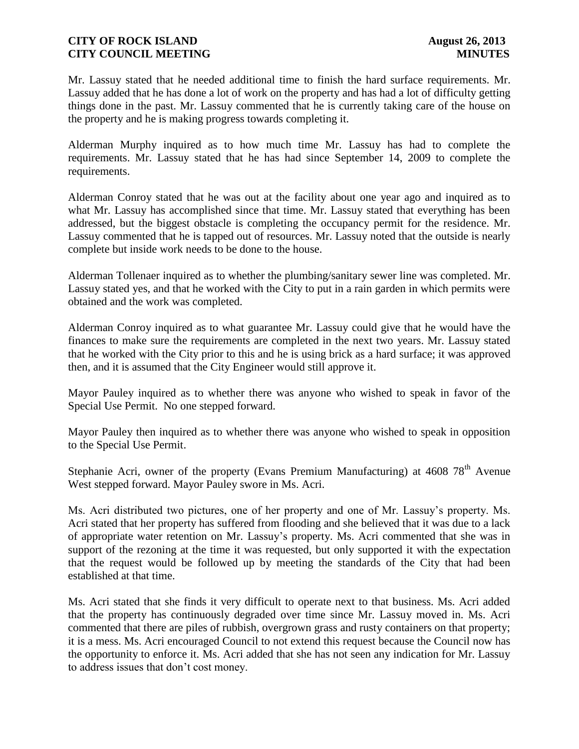Mr. Lassuy stated that he needed additional time to finish the hard surface requirements. Mr. Lassuy added that he has done a lot of work on the property and has had a lot of difficulty getting things done in the past. Mr. Lassuy commented that he is currently taking care of the house on the property and he is making progress towards completing it.

Alderman Murphy inquired as to how much time Mr. Lassuy has had to complete the requirements. Mr. Lassuy stated that he has had since September 14, 2009 to complete the requirements.

Alderman Conroy stated that he was out at the facility about one year ago and inquired as to what Mr. Lassuy has accomplished since that time. Mr. Lassuy stated that everything has been addressed, but the biggest obstacle is completing the occupancy permit for the residence. Mr. Lassuy commented that he is tapped out of resources. Mr. Lassuy noted that the outside is nearly complete but inside work needs to be done to the house.

Alderman Tollenaer inquired as to whether the plumbing/sanitary sewer line was completed. Mr. Lassuy stated yes, and that he worked with the City to put in a rain garden in which permits were obtained and the work was completed.

Alderman Conroy inquired as to what guarantee Mr. Lassuy could give that he would have the finances to make sure the requirements are completed in the next two years. Mr. Lassuy stated that he worked with the City prior to this and he is using brick as a hard surface; it was approved then, and it is assumed that the City Engineer would still approve it.

Mayor Pauley inquired as to whether there was anyone who wished to speak in favor of the Special Use Permit. No one stepped forward.

Mayor Pauley then inquired as to whether there was anyone who wished to speak in opposition to the Special Use Permit.

Stephanie Acri, owner of the property (Evans Premium Manufacturing) at 4608 78<sup>th</sup> Avenue West stepped forward. Mayor Pauley swore in Ms. Acri.

Ms. Acri distributed two pictures, one of her property and one of Mr. Lassuy's property. Ms. Acri stated that her property has suffered from flooding and she believed that it was due to a lack of appropriate water retention on Mr. Lassuy's property. Ms. Acri commented that she was in support of the rezoning at the time it was requested, but only supported it with the expectation that the request would be followed up by meeting the standards of the City that had been established at that time.

Ms. Acri stated that she finds it very difficult to operate next to that business. Ms. Acri added that the property has continuously degraded over time since Mr. Lassuy moved in. Ms. Acri commented that there are piles of rubbish, overgrown grass and rusty containers on that property; it is a mess. Ms. Acri encouraged Council to not extend this request because the Council now has the opportunity to enforce it. Ms. Acri added that she has not seen any indication for Mr. Lassuy to address issues that don't cost money.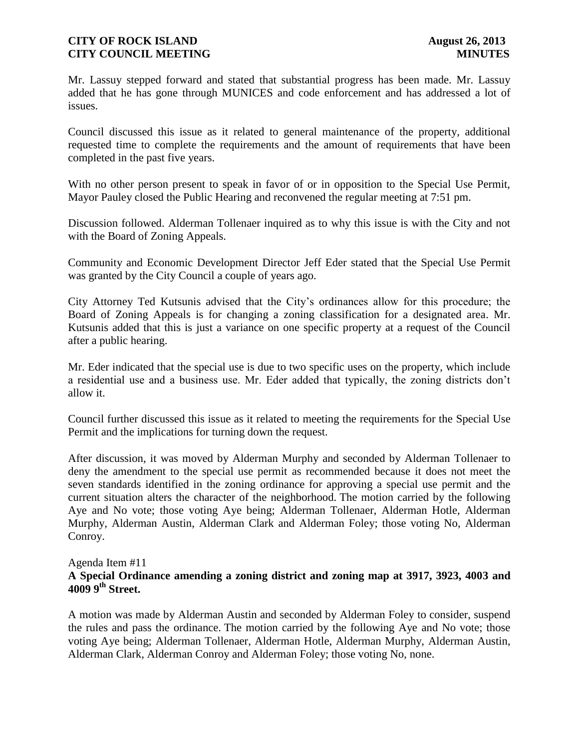Mr. Lassuy stepped forward and stated that substantial progress has been made. Mr. Lassuy added that he has gone through MUNICES and code enforcement and has addressed a lot of issues.

Council discussed this issue as it related to general maintenance of the property, additional requested time to complete the requirements and the amount of requirements that have been completed in the past five years.

With no other person present to speak in favor of or in opposition to the Special Use Permit, Mayor Pauley closed the Public Hearing and reconvened the regular meeting at 7:51 pm.

Discussion followed. Alderman Tollenaer inquired as to why this issue is with the City and not with the Board of Zoning Appeals.

Community and Economic Development Director Jeff Eder stated that the Special Use Permit was granted by the City Council a couple of years ago.

City Attorney Ted Kutsunis advised that the City's ordinances allow for this procedure; the Board of Zoning Appeals is for changing a zoning classification for a designated area. Mr. Kutsunis added that this is just a variance on one specific property at a request of the Council after a public hearing.

Mr. Eder indicated that the special use is due to two specific uses on the property, which include a residential use and a business use. Mr. Eder added that typically, the zoning districts don't allow it.

Council further discussed this issue as it related to meeting the requirements for the Special Use Permit and the implications for turning down the request.

After discussion, it was moved by Alderman Murphy and seconded by Alderman Tollenaer to deny the amendment to the special use permit as recommended because it does not meet the seven standards identified in the zoning ordinance for approving a special use permit and the current situation alters the character of the neighborhood. The motion carried by the following Aye and No vote; those voting Aye being; Alderman Tollenaer, Alderman Hotle, Alderman Murphy, Alderman Austin, Alderman Clark and Alderman Foley; those voting No, Alderman Conroy.

### Agenda Item #11

## **A Special Ordinance amending a zoning district and zoning map at 3917, 3923, 4003 and 4009 9th Street.**

A motion was made by Alderman Austin and seconded by Alderman Foley to consider, suspend the rules and pass the ordinance. The motion carried by the following Aye and No vote; those voting Aye being; Alderman Tollenaer, Alderman Hotle, Alderman Murphy, Alderman Austin, Alderman Clark, Alderman Conroy and Alderman Foley; those voting No, none.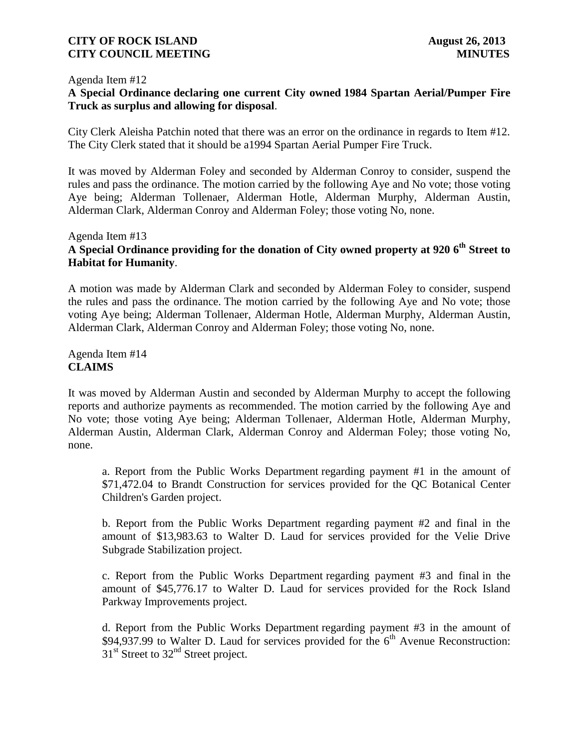#### Agenda Item #12

## **A Special Ordinance declaring one current City owned 1984 Spartan Aerial/Pumper Fire Truck as surplus and allowing for disposal**.

City Clerk Aleisha Patchin noted that there was an error on the ordinance in regards to Item #12. The City Clerk stated that it should be a1994 Spartan Aerial Pumper Fire Truck.

It was moved by Alderman Foley and seconded by Alderman Conroy to consider, suspend the rules and pass the ordinance. The motion carried by the following Aye and No vote; those voting Aye being; Alderman Tollenaer, Alderman Hotle, Alderman Murphy, Alderman Austin, Alderman Clark, Alderman Conroy and Alderman Foley; those voting No, none.

## Agenda Item #13 **A Special Ordinance providing for the donation of City owned property at 920 6th Street to Habitat for Humanity**.

A motion was made by Alderman Clark and seconded by Alderman Foley to consider, suspend the rules and pass the ordinance. The motion carried by the following Aye and No vote; those voting Aye being; Alderman Tollenaer, Alderman Hotle, Alderman Murphy, Alderman Austin, Alderman Clark, Alderman Conroy and Alderman Foley; those voting No, none.

Agenda Item #14 **CLAIMS**

It was moved by Alderman Austin and seconded by Alderman Murphy to accept the following reports and authorize payments as recommended. The motion carried by the following Aye and No vote; those voting Aye being; Alderman Tollenaer, Alderman Hotle, Alderman Murphy, Alderman Austin, Alderman Clark, Alderman Conroy and Alderman Foley; those voting No, none.

a. Report from the Public Works Department regarding payment #1 in the amount of \$71,472.04 to Brandt Construction for services provided for the QC Botanical Center Children's Garden project.

b. Report from the Public Works Department regarding payment #2 and final in the amount of \$13,983.63 to Walter D. Laud for services provided for the Velie Drive Subgrade Stabilization project.

c. Report from the Public Works Department regarding payment #3 and final in the amount of \$45,776.17 to Walter D. Laud for services provided for the Rock Island Parkway Improvements project.

d. Report from the Public Works Department regarding payment #3 in the amount of \$94,937.99 to Walter D. Laud for services provided for the  $6<sup>th</sup>$  Avenue Reconstruction:  $31<sup>st</sup>$  Street to  $32<sup>nd</sup>$  Street project.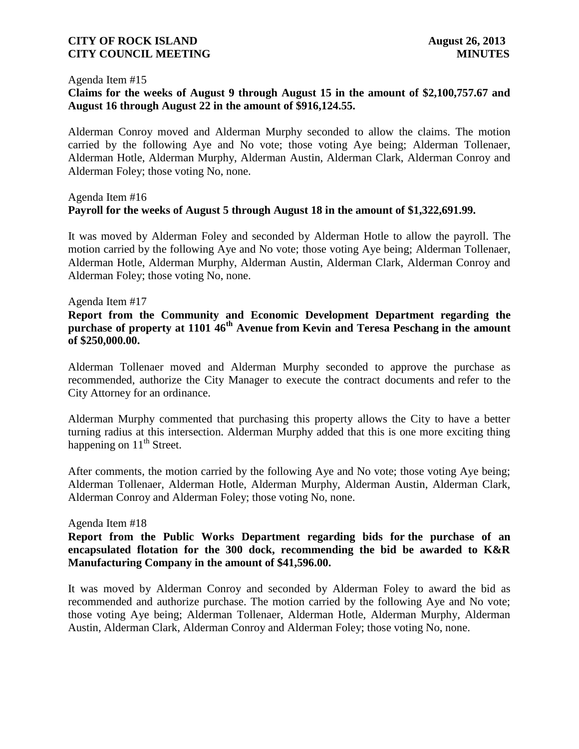#### Agenda Item #15

## **Claims for the weeks of August 9 through August 15 in the amount of \$2,100,757.67 and August 16 through August 22 in the amount of \$916,124.55.**

 Alderman Conroy moved and Alderman Murphy seconded to allow the claims. The motion carried by the following Aye and No vote; those voting Aye being; Alderman Tollenaer, Alderman Hotle, Alderman Murphy, Alderman Austin, Alderman Clark, Alderman Conroy and Alderman Foley; those voting No, none.

## Agenda Item #16 **Payroll for the weeks of August 5 through August 18 in the amount of \$1,322,691.99.**

 It was moved by Alderman Foley and seconded by Alderman Hotle to allow the payroll. The motion carried by the following Aye and No vote; those voting Aye being; Alderman Tollenaer, Alderman Hotle, Alderman Murphy, Alderman Austin, Alderman Clark, Alderman Conroy and Alderman Foley; those voting No, none.

#### Agenda Item #17

## **Report from the Community and Economic Development Department regarding the purchase of property at 1101 46th Avenue from Kevin and Teresa Peschang in the amount of \$250,000.00.**

Alderman Tollenaer moved and Alderman Murphy seconded to approve the purchase as recommended, authorize the City Manager to execute the contract documents and refer to the City Attorney for an ordinance.

Alderman Murphy commented that purchasing this property allows the City to have a better turning radius at this intersection. Alderman Murphy added that this is one more exciting thing happening on  $11<sup>th</sup>$  Street.

After comments, the motion carried by the following Aye and No vote; those voting Aye being; Alderman Tollenaer, Alderman Hotle, Alderman Murphy, Alderman Austin, Alderman Clark, Alderman Conroy and Alderman Foley; those voting No, none.

#### Agenda Item #18

**Report from the Public Works Department regarding bids for the purchase of an encapsulated flotation for the 300 dock, recommending the bid be awarded to K&R Manufacturing Company in the amount of \$41,596.00.** 

It was moved by Alderman Conroy and seconded by Alderman Foley to award the bid as recommended and authorize purchase. The motion carried by the following Aye and No vote; those voting Aye being; Alderman Tollenaer, Alderman Hotle, Alderman Murphy, Alderman Austin, Alderman Clark, Alderman Conroy and Alderman Foley; those voting No, none.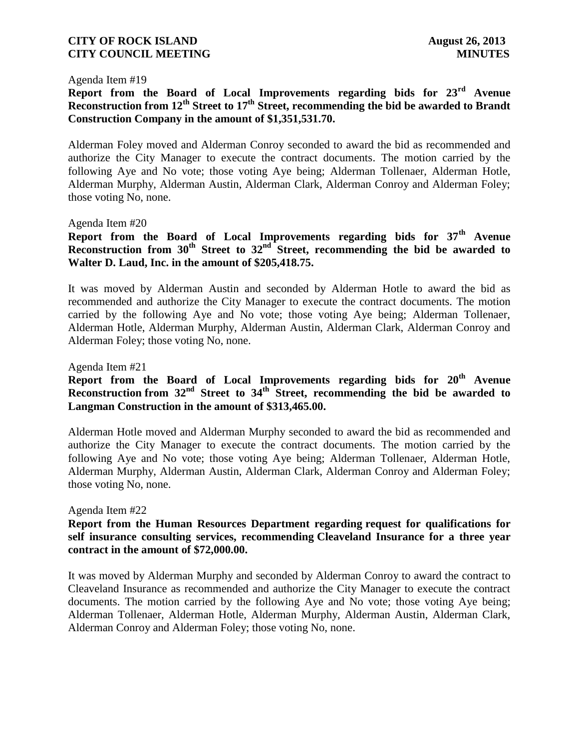#### Agenda Item #19

# **Report from the Board of Local Improvements regarding bids for 23rd Avenue Reconstruction from 12th Street to 17th Street, recommending the bid be awarded to Brandt Construction Company in the amount of \$1,351,531.70.**

Alderman Foley moved and Alderman Conroy seconded to award the bid as recommended and authorize the City Manager to execute the contract documents. The motion carried by the following Aye and No vote; those voting Aye being; Alderman Tollenaer, Alderman Hotle, Alderman Murphy, Alderman Austin, Alderman Clark, Alderman Conroy and Alderman Foley; those voting No, none.

### Agenda Item #20

# **Report from the Board of Local Improvements regarding bids for 37th Avenue Reconstruction from 30th Street to 32nd Street, recommending the bid be awarded to Walter D. Laud, Inc. in the amount of \$205,418.75.**

It was moved by Alderman Austin and seconded by Alderman Hotle to award the bid as recommended and authorize the City Manager to execute the contract documents. The motion carried by the following Aye and No vote; those voting Aye being; Alderman Tollenaer, Alderman Hotle, Alderman Murphy, Alderman Austin, Alderman Clark, Alderman Conroy and Alderman Foley; those voting No, none.

Agenda Item #21

## **Report from the Board of Local Improvements regarding bids for 20th Avenue Reconstruction from 32nd Street to 34th Street, recommending the bid be awarded to Langman Construction in the amount of \$313,465.00.**

Alderman Hotle moved and Alderman Murphy seconded to award the bid as recommended and authorize the City Manager to execute the contract documents. The motion carried by the following Aye and No vote; those voting Aye being; Alderman Tollenaer, Alderman Hotle, Alderman Murphy, Alderman Austin, Alderman Clark, Alderman Conroy and Alderman Foley; those voting No, none.

#### Agenda Item #22

## **Report from the Human Resources Department regarding request for qualifications for self insurance consulting services, recommending Cleaveland Insurance for a three year contract in the amount of \$72,000.00.**

It was moved by Alderman Murphy and seconded by Alderman Conroy to award the contract to Cleaveland Insurance as recommended and authorize the City Manager to execute the contract documents. The motion carried by the following Aye and No vote; those voting Aye being; Alderman Tollenaer, Alderman Hotle, Alderman Murphy, Alderman Austin, Alderman Clark, Alderman Conroy and Alderman Foley; those voting No, none.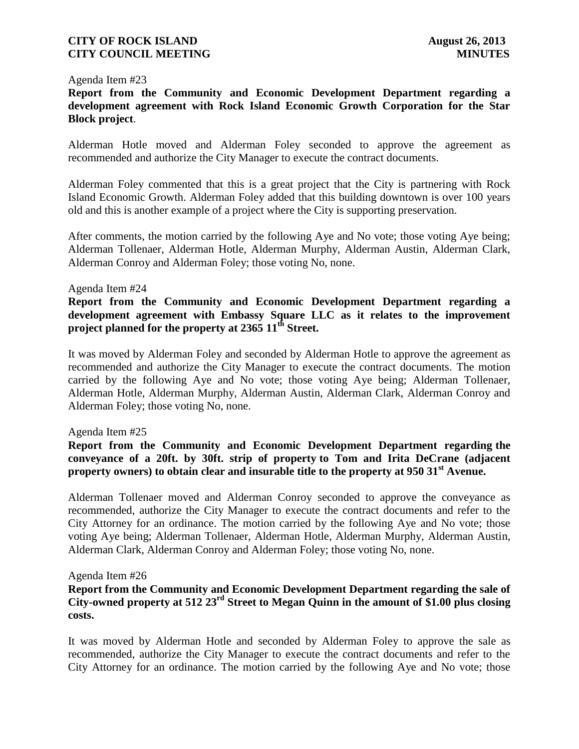#### Agenda Item #23

**Report from the Community and Economic Development Department regarding a development agreement with Rock Island Economic Growth Corporation for the Star Block project**.

Alderman Hotle moved and Alderman Foley seconded to approve the agreement as recommended and authorize the City Manager to execute the contract documents.

Alderman Foley commented that this is a great project that the City is partnering with Rock Island Economic Growth. Alderman Foley added that this building downtown is over 100 years old and this is another example of a project where the City is supporting preservation.

After comments, the motion carried by the following Aye and No vote; those voting Aye being; Alderman Tollenaer, Alderman Hotle, Alderman Murphy, Alderman Austin, Alderman Clark, Alderman Conroy and Alderman Foley; those voting No, none.

### Agenda Item #24

## **Report from the Community and Economic Development Department regarding a development agreement with Embassy Square LLC as it relates to the improvement project planned for the property at 2365 11th Street.**

It was moved by Alderman Foley and seconded by Alderman Hotle to approve the agreement as recommended and authorize the City Manager to execute the contract documents. The motion carried by the following Aye and No vote; those voting Aye being; Alderman Tollenaer, Alderman Hotle, Alderman Murphy, Alderman Austin, Alderman Clark, Alderman Conroy and Alderman Foley; those voting No, none.

### Agenda Item #25

## **Report from the Community and Economic Development Department regarding the conveyance of a 20ft. by 30ft. strip of property to Tom and Irita DeCrane (adjacent property owners) to obtain clear and insurable title to the property at 950 31st Avenue.**

Alderman Tollenaer moved and Alderman Conroy seconded to approve the conveyance as recommended, authorize the City Manager to execute the contract documents and refer to the City Attorney for an ordinance. The motion carried by the following Aye and No vote; those voting Aye being; Alderman Tollenaer, Alderman Hotle, Alderman Murphy, Alderman Austin, Alderman Clark, Alderman Conroy and Alderman Foley; those voting No, none.

#### Agenda Item #26

### **Report from the Community and Economic Development Department regarding the sale of City-owned property at 512 23rd Street to Megan Quinn in the amount of \$1.00 plus closing costs.**

It was moved by Alderman Hotle and seconded by Alderman Foley to approve the sale as recommended, authorize the City Manager to execute the contract documents and refer to the City Attorney for an ordinance. The motion carried by the following Aye and No vote; those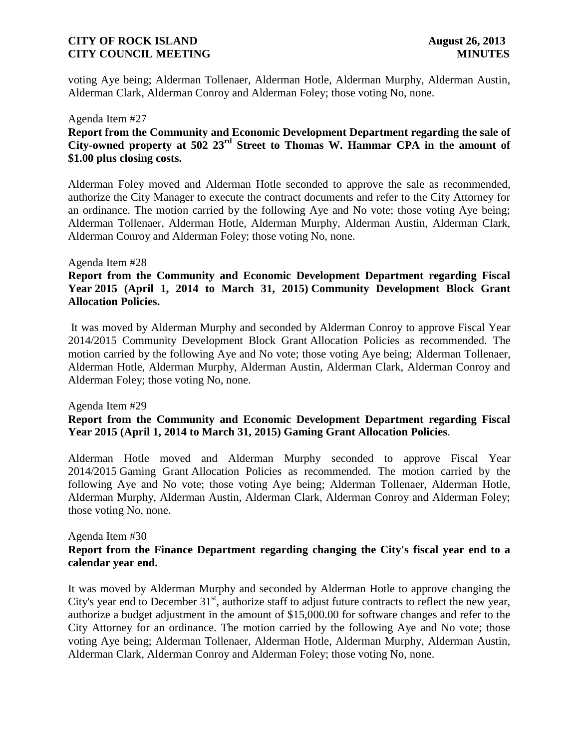voting Aye being; Alderman Tollenaer, Alderman Hotle, Alderman Murphy, Alderman Austin, Alderman Clark, Alderman Conroy and Alderman Foley; those voting No, none.

#### Agenda Item #27

## **Report from the Community and Economic Development Department regarding the sale of City-owned property at 502 23rd Street to Thomas W. Hammar CPA in the amount of \$1.00 plus closing costs.**

Alderman Foley moved and Alderman Hotle seconded to approve the sale as recommended, authorize the City Manager to execute the contract documents and refer to the City Attorney for an ordinance. The motion carried by the following Aye and No vote; those voting Aye being; Alderman Tollenaer, Alderman Hotle, Alderman Murphy, Alderman Austin, Alderman Clark, Alderman Conroy and Alderman Foley; those voting No, none.

### Agenda Item #28

## **Report from the Community and Economic Development Department regarding Fiscal Year 2015 (April 1, 2014 to March 31, 2015) Community Development Block Grant Allocation Policies.**

It was moved by Alderman Murphy and seconded by Alderman Conroy to approve Fiscal Year 2014/2015 Community Development Block Grant Allocation Policies as recommended. The motion carried by the following Aye and No vote; those voting Aye being; Alderman Tollenaer, Alderman Hotle, Alderman Murphy, Alderman Austin, Alderman Clark, Alderman Conroy and Alderman Foley; those voting No, none.

#### Agenda Item #29

## **Report from the Community and Economic Development Department regarding Fiscal Year 2015 (April 1, 2014 to March 31, 2015) Gaming Grant Allocation Policies**.

Alderman Hotle moved and Alderman Murphy seconded to approve Fiscal Year 2014/2015 Gaming Grant Allocation Policies as recommended. The motion carried by the following Aye and No vote; those voting Aye being; Alderman Tollenaer, Alderman Hotle, Alderman Murphy, Alderman Austin, Alderman Clark, Alderman Conroy and Alderman Foley; those voting No, none.

#### Agenda Item #30

## **Report from the Finance Department regarding changing the City's fiscal year end to a calendar year end.**

It was moved by Alderman Murphy and seconded by Alderman Hotle to approve changing the City's year end to December  $31<sup>st</sup>$ , authorize staff to adjust future contracts to reflect the new year, authorize a budget adjustment in the amount of \$15,000.00 for software changes and refer to the City Attorney for an ordinance. The motion carried by the following Aye and No vote; those voting Aye being; Alderman Tollenaer, Alderman Hotle, Alderman Murphy, Alderman Austin, Alderman Clark, Alderman Conroy and Alderman Foley; those voting No, none.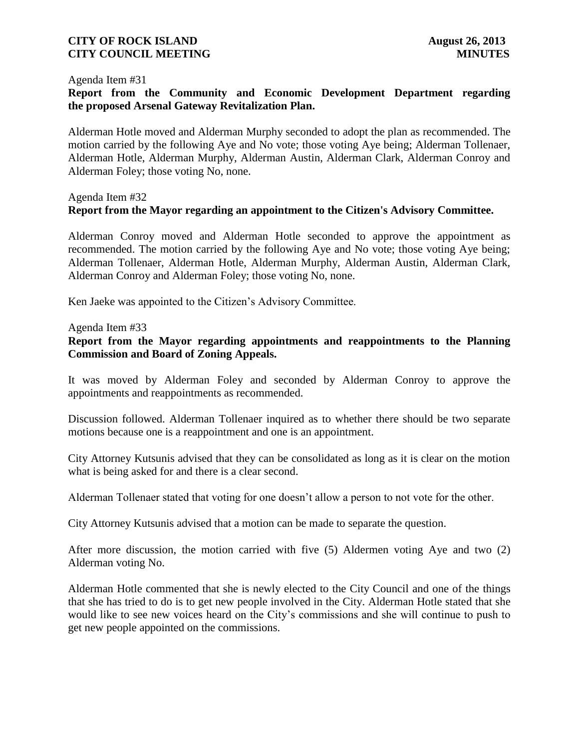#### Agenda Item #31

## **Report from the Community and Economic Development Department regarding the proposed Arsenal Gateway Revitalization Plan.**

Alderman Hotle moved and Alderman Murphy seconded to adopt the plan as recommended. The motion carried by the following Aye and No vote; those voting Aye being; Alderman Tollenaer, Alderman Hotle, Alderman Murphy, Alderman Austin, Alderman Clark, Alderman Conroy and Alderman Foley; those voting No, none.

# Agenda Item #32 **Report from the Mayor regarding an appointment to the Citizen's Advisory Committee.**

Alderman Conroy moved and Alderman Hotle seconded to approve the appointment as recommended. The motion carried by the following Aye and No vote; those voting Aye being; Alderman Tollenaer, Alderman Hotle, Alderman Murphy, Alderman Austin, Alderman Clark, Alderman Conroy and Alderman Foley; those voting No, none.

Ken Jaeke was appointed to the Citizen's Advisory Committee.

Agenda Item #33

### **Report from the Mayor regarding appointments and reappointments to the Planning Commission and Board of Zoning Appeals.**

It was moved by Alderman Foley and seconded by Alderman Conroy to approve the appointments and reappointments as recommended.

Discussion followed. Alderman Tollenaer inquired as to whether there should be two separate motions because one is a reappointment and one is an appointment.

City Attorney Kutsunis advised that they can be consolidated as long as it is clear on the motion what is being asked for and there is a clear second.

Alderman Tollenaer stated that voting for one doesn't allow a person to not vote for the other.

City Attorney Kutsunis advised that a motion can be made to separate the question.

After more discussion, the motion carried with five (5) Aldermen voting Aye and two (2) Alderman voting No.

Alderman Hotle commented that she is newly elected to the City Council and one of the things that she has tried to do is to get new people involved in the City. Alderman Hotle stated that she would like to see new voices heard on the City's commissions and she will continue to push to get new people appointed on the commissions.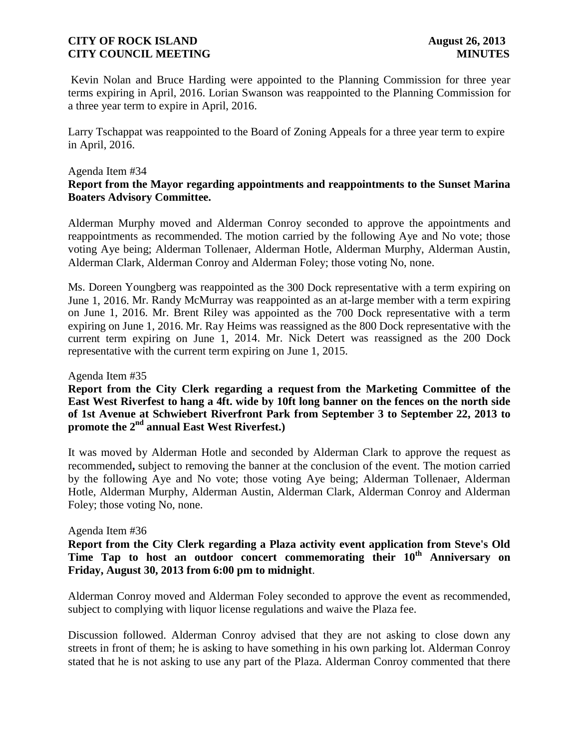Kevin Nolan and Bruce Harding were appointed to the Planning Commission for three year terms expiring in April, 2016. Lorian Swanson was reappointed to the Planning Commission for a three year term to expire in April, 2016.

Larry Tschappat was reappointed to the Board of Zoning Appeals for a three year term to expire in April, 2016.

### Agenda Item #34

## **Report from the Mayor regarding appointments and reappointments to the Sunset Marina Boaters Advisory Committee.**

Alderman Murphy moved and Alderman Conroy seconded to approve the appointments and reappointments as recommended. The motion carried by the following Aye and No vote; those voting Aye being; Alderman Tollenaer, Alderman Hotle, Alderman Murphy, Alderman Austin, Alderman Clark, Alderman Conroy and Alderman Foley; those voting No, none.

Ms. Doreen Youngberg was reappointed as the 300 Dock representative with a term expiring on June 1, 2016. Mr. Randy McMurray was reappointed as an at-large member with a term expiring on June 1, 2016. Mr. Brent Riley was appointed as the 700 Dock representative with a term expiring on June 1, 2016. Mr. Ray Heims was reassigned as the 800 Dock representative with the current term expiring on June 1, 2014. Mr. Nick Detert was reassigned as the 200 Dock representative with the current term expiring on June 1, 2015.

#### Agenda Item #35

**Report from the City Clerk regarding a request from the Marketing Committee of the East West Riverfest to hang a 4ft. wide by 10ft long banner on the fences on the north side of 1st Avenue at Schwiebert Riverfront Park from September 3 to September 22, 2013 to promote the 2nd annual East West Riverfest.)**

It was moved by Alderman Hotle and seconded by Alderman Clark to approve the request as recommended**,** subject to removing the banner at the conclusion of the event. The motion carried by the following Aye and No vote; those voting Aye being; Alderman Tollenaer, Alderman Hotle, Alderman Murphy, Alderman Austin, Alderman Clark, Alderman Conroy and Alderman Foley; those voting No, none.

#### Agenda Item #36

**Report from the City Clerk regarding a Plaza activity event application from Steve's Old Time Tap to host an outdoor concert commemorating their 10th Anniversary on Friday, August 30, 2013 from 6:00 pm to midnight**.

Alderman Conroy moved and Alderman Foley seconded to approve the event as recommended, subject to complying with liquor license regulations and waive the Plaza fee.

Discussion followed. Alderman Conroy advised that they are not asking to close down any streets in front of them; he is asking to have something in his own parking lot. Alderman Conroy stated that he is not asking to use any part of the Plaza. Alderman Conroy commented that there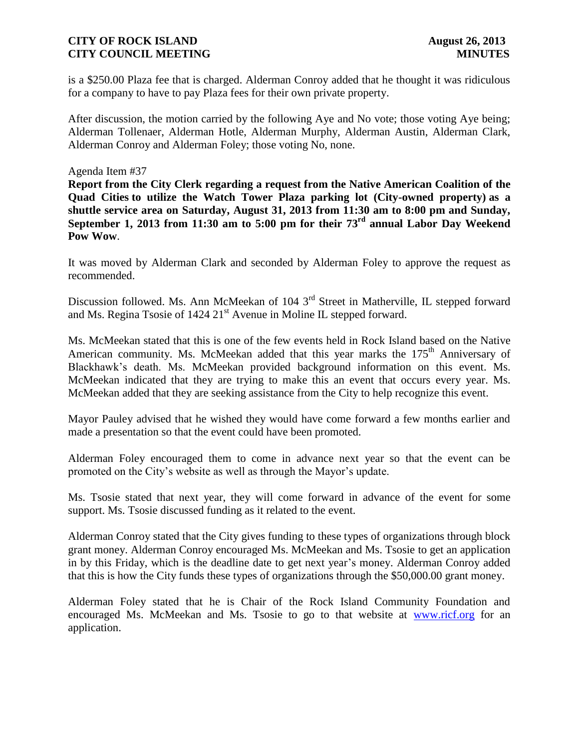is a \$250.00 Plaza fee that is charged. Alderman Conroy added that he thought it was ridiculous for a company to have to pay Plaza fees for their own private property.

After discussion, the motion carried by the following Aye and No vote; those voting Aye being; Alderman Tollenaer, Alderman Hotle, Alderman Murphy, Alderman Austin, Alderman Clark, Alderman Conroy and Alderman Foley; those voting No, none.

### Agenda Item #37

**Report from the City Clerk regarding a request from the Native American Coalition of the Quad Cities to utilize the Watch Tower Plaza parking lot (City-owned property) as a shuttle service area on Saturday, August 31, 2013 from 11:30 am to 8:00 pm and Sunday, September 1, 2013 from 11:30 am to 5:00 pm for their 73rd annual Labor Day Weekend Pow Wow**.

It was moved by Alderman Clark and seconded by Alderman Foley to approve the request as recommended.

Discussion followed. Ms. Ann McMeekan of 104 3<sup>rd</sup> Street in Matherville, IL stepped forward and Ms. Regina Tsosie of  $1424 \, 21<sup>st</sup>$  Avenue in Moline IL stepped forward.

Ms. McMeekan stated that this is one of the few events held in Rock Island based on the Native American community. Ms. McMeekan added that this year marks the  $175<sup>th</sup>$  Anniversary of Blackhawk's death. Ms. McMeekan provided background information on this event. Ms. McMeekan indicated that they are trying to make this an event that occurs every year. Ms. McMeekan added that they are seeking assistance from the City to help recognize this event.

Mayor Pauley advised that he wished they would have come forward a few months earlier and made a presentation so that the event could have been promoted.

Alderman Foley encouraged them to come in advance next year so that the event can be promoted on the City's website as well as through the Mayor's update.

Ms. Tsosie stated that next year, they will come forward in advance of the event for some support. Ms. Tsosie discussed funding as it related to the event.

Alderman Conroy stated that the City gives funding to these types of organizations through block grant money. Alderman Conroy encouraged Ms. McMeekan and Ms. Tsosie to get an application in by this Friday, which is the deadline date to get next year's money. Alderman Conroy added that this is how the City funds these types of organizations through the \$50,000.00 grant money.

Alderman Foley stated that he is Chair of the Rock Island Community Foundation and encouraged Ms. McMeekan and Ms. Tsosie to go to that website at [www.ricf.org](http://www.ricf.org/) for an application.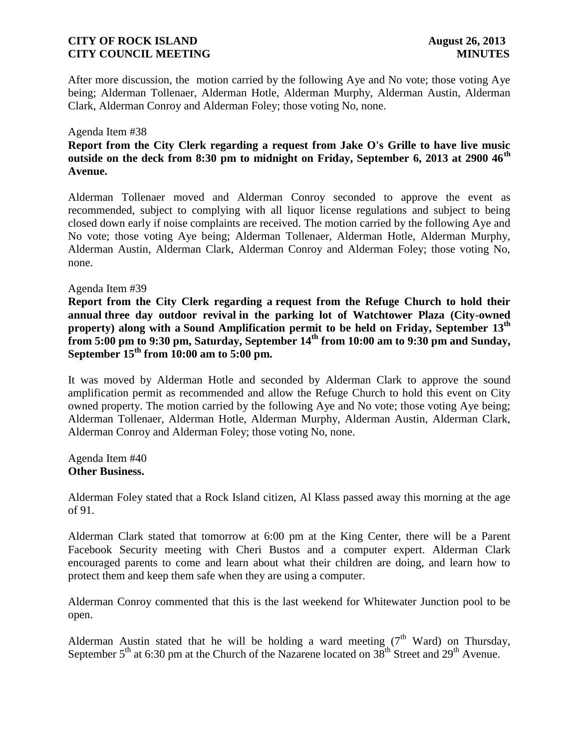After more discussion, the motion carried by the following Aye and No vote; those voting Aye being; Alderman Tollenaer, Alderman Hotle, Alderman Murphy, Alderman Austin, Alderman Clark, Alderman Conroy and Alderman Foley; those voting No, none.

#### Agenda Item #38

## **Report from the City Clerk regarding a request from Jake O's Grille to have live music outside on the deck from 8:30 pm to midnight on Friday, September 6, 2013 at 2900 46th Avenue.**

Alderman Tollenaer moved and Alderman Conroy seconded to approve the event as recommended, subject to complying with all liquor license regulations and subject to being closed down early if noise complaints are received. The motion carried by the following Aye and No vote; those voting Aye being; Alderman Tollenaer, Alderman Hotle, Alderman Murphy, Alderman Austin, Alderman Clark, Alderman Conroy and Alderman Foley; those voting No, none.

### Agenda Item #39

**Report from the City Clerk regarding a request from the Refuge Church to hold their annual three day outdoor revival in the parking lot of Watchtower Plaza (City-owned property) along with a Sound Amplification permit to be held on Friday, September 13th from 5:00 pm to 9:30 pm, Saturday, September 14th from 10:00 am to 9:30 pm and Sunday, September 15th from 10:00 am to 5:00 pm.**

It was moved by Alderman Hotle and seconded by Alderman Clark to approve the sound amplification permit as recommended and allow the Refuge Church to hold this event on City owned property. The motion carried by the following Aye and No vote; those voting Aye being; Alderman Tollenaer, Alderman Hotle, Alderman Murphy, Alderman Austin, Alderman Clark, Alderman Conroy and Alderman Foley; those voting No, none.

Agenda Item #40 **Other Business.**

Alderman Foley stated that a Rock Island citizen, Al Klass passed away this morning at the age of 91.

Alderman Clark stated that tomorrow at 6:00 pm at the King Center, there will be a Parent Facebook Security meeting with Cheri Bustos and a computer expert. Alderman Clark encouraged parents to come and learn about what their children are doing, and learn how to protect them and keep them safe when they are using a computer.

Alderman Conroy commented that this is the last weekend for Whitewater Junction pool to be open.

Alderman Austin stated that he will be holding a ward meeting  $(7<sup>th</sup> Ward)$  on Thursday, September  $5<sup>th</sup>$  at 6:30 pm at the Church of the Nazarene located on  $38<sup>th</sup>$  Street and  $29<sup>th</sup>$  Avenue.